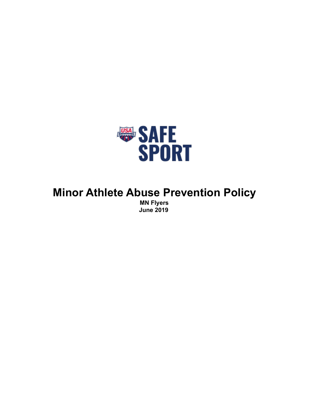

# **Minor Athlete Abuse Prevention Policy MN Flyers June 2019**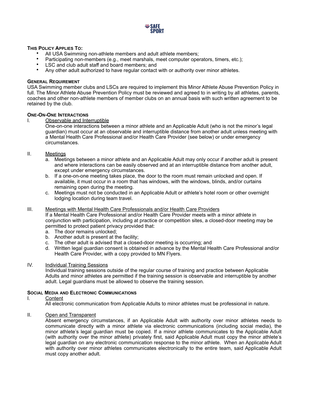

## **THIS POLICY APPLIES TO:**

- All USA Swimming non-athlete members and adult athlete members;
- Participating non-members (e.g., meet marshals, meet computer operators, timers, etc.);
- LSC and club adult staff and board members; and
- Any other adult authorized to have regular contact with or authority over minor athletes.

# **GENERAL REQUIREMENT**

USA Swimming member clubs and LSCs are required to implement this Minor Athlete Abuse Prevention Policy in full. The Minor Athlete Abuse Prevention Policy must be reviewed and agreed to in writing by all athletes, parents, coaches and other non-athlete members of member clubs on an annual basis with such written agreement to be retained by the club.

#### **ONE-ON-ONE INTERACTIONS**

I. Observable and Interruptible

One-on-one interactions between a minor athlete and an Applicable Adult (who is not the minor's legal guardian) must occur at an observable and interruptible distance from another adult unless meeting with a Mental Health Care Professional and/or Health Care Provider (see below) or under emergency circumstances.

- II. Meetings
	- a. Meetings between a minor athlete and an Applicable Adult may only occur if another adult is present and where interactions can be easily observed and at an interruptible distance from another adult, except under emergency circumstances.
	- b. If a one-on-one meeting takes place, the door to the room must remain unlocked and open. If available, it must occur in a room that has windows, with the windows, blinds, and/or curtains remaining open during the meeting.
	- c. Meetings must not be conducted in an Applicable Adult or athlete's hotel room or other overnight lodging location during team travel.

## III. Meetings with Mental Health Care Professionals and/or Health Care Providers

If a Mental Health Care Professional and/or Health Care Provider meets with a minor athlete in conjunction with participation, including at practice or competition sites, a closed-door meeting may be permitted to protect patient privacy provided that:

- a. The door remains unlocked;
- b. Another adult is present at the facility;
- c. The other adult is advised that a closed-door meeting is occurring; and
- d. Written legal guardian consent is obtained in advance by the Mental Health Care Professional and/or Health Care Provider, with a copy provided to MN Flyers.

# IV. Individual Training Sessions

Individual training sessions outside of the regular course of training and practice between Applicable Adults and minor athletes are permitted if the training session is observable and interruptible by another adult. Legal guardians must be allowed to observe the training session.

#### **SOCIAL MEDIA AND ELECTRONIC COMMUNICATIONS**

#### I. Content

All electronic communication from Applicable Adults to minor athletes must be professional in nature.

II. Open and Transparent

Absent emergency circumstances, if an Applicable Adult with authority over minor athletes needs to communicate directly with a minor athlete via electronic communications (including social media), the minor athlete's legal guardian must be copied. If a minor athlete communicates to the Applicable Adult (with authority over the minor athlete) privately first, said Applicable Adult must copy the minor athlete's legal guardian on any electronic communication response to the minor athlete. When an Applicable Adult with authority over minor athletes communicates electronically to the entire team, said Applicable Adult must copy another adult.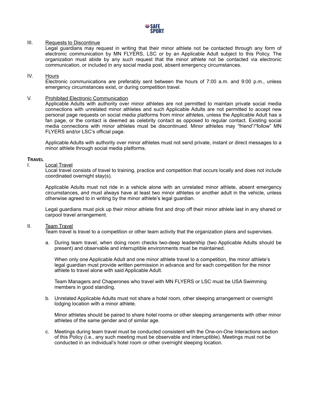

## III. Requests to Discontinue

Legal guardians may request in writing that their minor athlete not be contacted through any form of electronic communication by MN FLYERS, LSC or by an Applicable Adult subject to this Policy. The organization must abide by any such request that the minor athlete not be contacted via electronic communication, or included in any social media post, absent emergency circumstances.

## IV. Hours

Electronic communications are preferably sent between the hours of 7:00 a.m. and 9:00 p.m., unless emergency circumstances exist, or during competition travel.

## V. Prohibited Electronic Communication

Applicable Adults with authority over minor athletes are not permitted to maintain private social media connections with unrelated minor athletes and such Applicable Adults are not permitted to accept new personal page requests on social media platforms from minor athletes, unless the Applicable Adult has a fan page, or the contact is deemed as celebrity contact as opposed to regular contact. Existing social media connections with minor athletes must be discontinued. Minor athletes may "friend"/"follow" MN FLYERS and/or LSC's official page.

Applicable Adults with authority over minor athletes must not send private, instant or direct messages to a minor athlete through social media platforms.

## **TRAVEL**

#### I. Local Travel

Local travel consists of travel to training, practice and competition that occurs locally and does not include coordinated overnight stay(s).

Applicable Adults must not ride in a vehicle alone with an unrelated minor athlete, absent emergency circumstances, and must always have at least two minor athletes or another adult in the vehicle, unless otherwise agreed to in writing by the minor athlete's legal guardian.

Legal guardians must pick up their minor athlete first and drop off their minor athlete last in any shared or carpool travel arrangement.

#### II. Team Travel

Team travel is travel to a competition or other team activity that the organization plans and supervises.

a. During team travel, when doing room checks two-deep leadership (two Applicable Adults should be present) and observable and interruptible environments must be maintained.

When only one Applicable Adult and one minor athlete travel to a competition, the minor athlete's legal guardian must provide written permission in advance and for each competition for the minor athlete to travel alone with said Applicable Adult.

Team Managers and Chaperones who travel with MN FLYERS or LSC must be USA Swimming members in good standing.

b. Unrelated Applicable Adults must not share a hotel room, other sleeping arrangement or overnight lodging location with a minor athlete.

Minor athletes should be paired to share hotel rooms or other sleeping arrangements with other minor athletes of the same gender and of similar age.

c. Meetings during team travel must be conducted consistent with the One-on-One Interactions section of this Policy (i.e., any such meeting must be observable and interruptible). Meetings must not be conducted in an individual's hotel room or other overnight sleeping location.